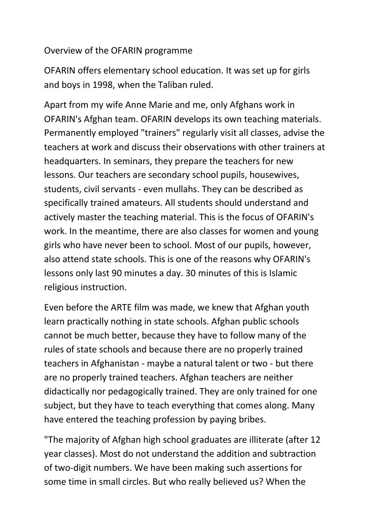## Overview of the OFARIN programme

OFARIN offers elementary school education. It was set up for girls and boys in 1998, when the Taliban ruled.

Apart from my wife Anne Marie and me, only Afghans work in OFARIN's Afghan team. OFARIN develops its own teaching materials. Permanently employed "trainers" regularly visit all classes, advise the teachers at work and discuss their observations with other trainers at headquarters. In seminars, they prepare the teachers for new lessons. Our teachers are secondary school pupils, housewives, students, civil servants - even mullahs. They can be described as specifically trained amateurs. All students should understand and actively master the teaching material. This is the focus of OFARIN's work. In the meantime, there are also classes for women and young girls who have never been to school. Most of our pupils, however, also attend state schools. This is one of the reasons why OFARIN's lessons only last 90 minutes a day. 30 minutes of this is Islamic religious instruction.

Even before the ARTE film was made, we knew that Afghan youth learn practically nothing in state schools. Afghan public schools cannot be much better, because they have to follow many of the rules of state schools and because there are no properly trained teachers in Afghanistan - maybe a natural talent or two - but there are no properly trained teachers. Afghan teachers are neither didactically nor pedagogically trained. They are only trained for one subject, but they have to teach everything that comes along. Many have entered the teaching profession by paying bribes.

"The majority of Afghan high school graduates are illiterate (after 12 year classes). Most do not understand the addition and subtraction of two-digit numbers. We have been making such assertions for some time in small circles. But who really believed us? When the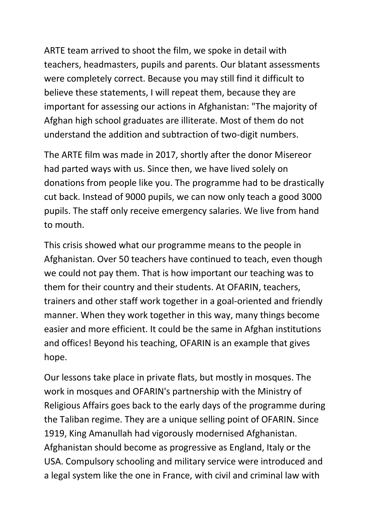ARTE team arrived to shoot the film, we spoke in detail with teachers, headmasters, pupils and parents. Our blatant assessments were completely correct. Because you may still find it difficult to believe these statements, I will repeat them, because they are important for assessing our actions in Afghanistan: "The majority of Afghan high school graduates are illiterate. Most of them do not understand the addition and subtraction of two-digit numbers.

The ARTE film was made in 2017, shortly after the donor Misereor had parted ways with us. Since then, we have lived solely on donations from people like you. The programme had to be drastically cut back. Instead of 9000 pupils, we can now only teach a good 3000 pupils. The staff only receive emergency salaries. We live from hand to mouth.

This crisis showed what our programme means to the people in Afghanistan. Over 50 teachers have continued to teach, even though we could not pay them. That is how important our teaching was to them for their country and their students. At OFARIN, teachers, trainers and other staff work together in a goal-oriented and friendly manner. When they work together in this way, many things become easier and more efficient. It could be the same in Afghan institutions and offices! Beyond his teaching, OFARIN is an example that gives hope.

Our lessons take place in private flats, but mostly in mosques. The work in mosques and OFARIN's partnership with the Ministry of Religious Affairs goes back to the early days of the programme during the Taliban regime. They are a unique selling point of OFARIN. Since 1919, King Amanullah had vigorously modernised Afghanistan. Afghanistan should become as progressive as England, Italy or the USA. Compulsory schooling and military service were introduced and a legal system like the one in France, with civil and criminal law with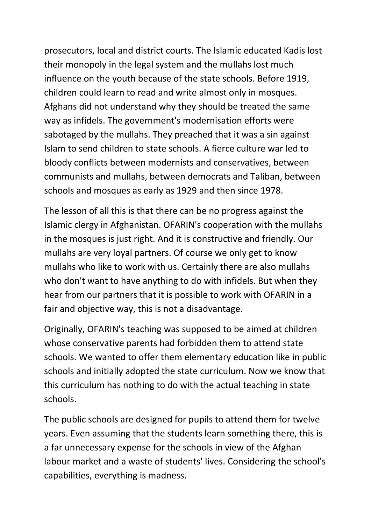prosecutors, local and district courts. The Islamic educated Kadis lost their monopoly in the legal system and the mullahs lost much influence on the youth because of the state schools. Before 1919, children could learn to read and write almost only in mosques. Afghans did not understand why they should be treated the same way as infidels. The government's modernisation efforts were sabotaged by the mullahs. They preached that it was a sin against Islam to send children to state schools. A fierce culture war led to bloody conflicts between modernists and conservatives, between communists and mullahs, between democrats and Taliban, between schools and mosques as early as 1929 and then since 1978.

The lesson of all this is that there can be no progress against the Islamic clergy in Afghanistan. OFARIN's cooperation with the mullahs in the mosques is just right. And it is constructive and friendly. Our mullahs are very loyal partners. Of course we only get to know mullahs who like to work with us. Certainly there are also mullahs who don't want to have anything to do with infidels. But when they hear from our partners that it is possible to work with OFARIN in a fair and objective way, this is not a disadvantage.

Originally, OFARIN's teaching was supposed to be aimed at children whose conservative parents had forbidden them to attend state schools. We wanted to offer them elementary education like in public schools and initially adopted the state curriculum. Now we know that this curriculum has nothing to do with the actual teaching in state schools.

The public schools are designed for pupils to attend them for twelve years. Even assuming that the students learn something there, this is a far unnecessary expense for the schools in view of the Afghan labour market and a waste of students' lives. Considering the school's capabilities, everything is madness.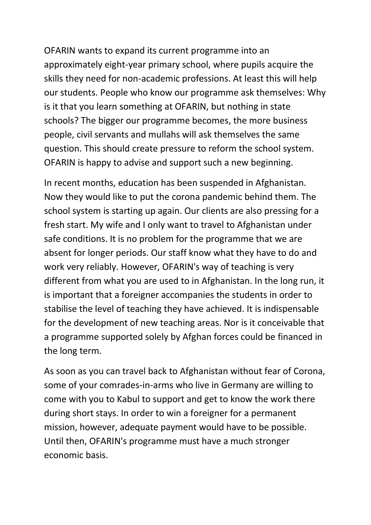OFARIN wants to expand its current programme into an approximately eight-year primary school, where pupils acquire the skills they need for non-academic professions. At least this will help our students. People who know our programme ask themselves: Why is it that you learn something at OFARIN, but nothing in state schools? The bigger our programme becomes, the more business people, civil servants and mullahs will ask themselves the same question. This should create pressure to reform the school system. OFARIN is happy to advise and support such a new beginning.

In recent months, education has been suspended in Afghanistan. Now they would like to put the corona pandemic behind them. The school system is starting up again. Our clients are also pressing for a fresh start. My wife and I only want to travel to Afghanistan under safe conditions. It is no problem for the programme that we are absent for longer periods. Our staff know what they have to do and work very reliably. However, OFARIN's way of teaching is very different from what you are used to in Afghanistan. In the long run, it is important that a foreigner accompanies the students in order to stabilise the level of teaching they have achieved. It is indispensable for the development of new teaching areas. Nor is it conceivable that a programme supported solely by Afghan forces could be financed in the long term.

As soon as you can travel back to Afghanistan without fear of Corona, some of your comrades-in-arms who live in Germany are willing to come with you to Kabul to support and get to know the work there during short stays. In order to win a foreigner for a permanent mission, however, adequate payment would have to be possible. Until then, OFARIN's programme must have a much stronger economic basis.